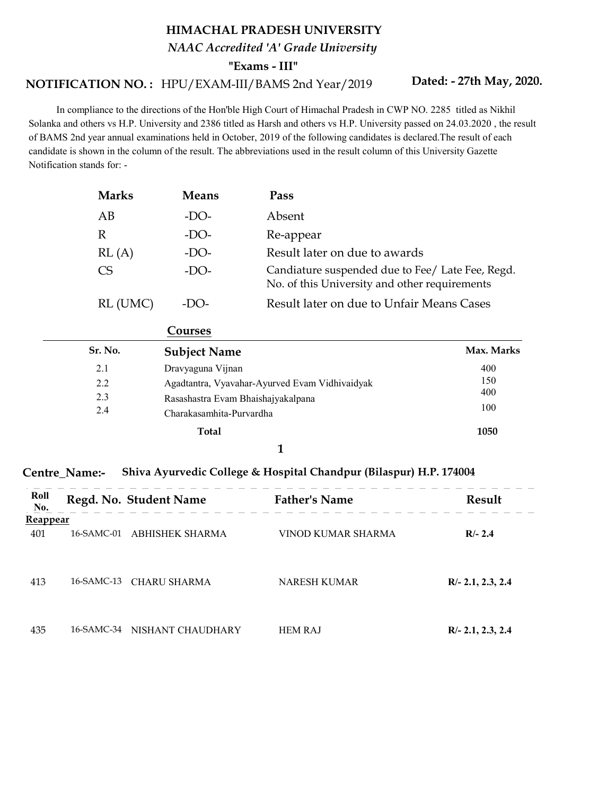## HIMACHAL PRADESH UNIVERSITY

NAAC Accredited 'A' Grade University

"Exams - III"

## NOTIFICATION NO.: HPU/EXAM-III/BAMS 2nd Year/2019 Dated: - 27th May, 202

Dated: - 27th May, 2020.

 In compliance to the directions of the Hon'ble High Court of Himachal Pradesh in CWP NO. 2285 titled as Nikhil Solanka and others vs H.P. University and 2386 titled as Harsh and others vs H.P. University passed on 24.03.2020 , the result of BAMS 2nd year annual examinations held in October, 2019 of the following candidates is declared.The result of each candidate is shown in the column of the result. The abbreviations used in the result column of this University Gazette Notification stands for: -

| <b>Marks</b>           | <b>Means</b>                                                                         | Pass                                                                                              |            |
|------------------------|--------------------------------------------------------------------------------------|---------------------------------------------------------------------------------------------------|------------|
| AB                     | $-DO-$                                                                               | Absent                                                                                            |            |
| $\mathbb{R}$           | $-DO-$                                                                               | Re-appear                                                                                         |            |
| RL(A)                  | $-DO-$                                                                               | Result later on due to awards                                                                     |            |
| <b>CS</b>              | $-DO-$                                                                               | Candiature suspended due to Fee/ Late Fee, Regd.<br>No. of this University and other requirements |            |
| RL (UMC)               | $-DO-$                                                                               | Result later on due to Unfair Means Cases                                                         |            |
|                        | Courses                                                                              |                                                                                                   |            |
| Sr. No.                | <b>Subject Name</b>                                                                  |                                                                                                   | Max. Marks |
| 2.1                    | Dravyaguna Vijnan                                                                    |                                                                                                   | 400        |
| 2.2                    | Agadtantra, Vyavahar-Ayurved Evam Vidhivaidyak<br>Rasashastra Evam Bhaishajyakalpana |                                                                                                   | 150        |
| 2.3                    |                                                                                      |                                                                                                   | 400        |
| 2.4                    | Charakasamhita-Purvardha                                                             |                                                                                                   | 100        |
|                        | <b>Total</b>                                                                         |                                                                                                   | 1050       |
|                        |                                                                                      | 1                                                                                                 |            |
| <b>Name:-</b>          |                                                                                      | Shiva Ayurvedic College & Hospital Chandpur (Bilaspur) H.P. 174004                                |            |
| Regd. No. Student Name |                                                                                      | <b>Father's Name</b>                                                                              | Result     |

|                | RL(A)                                    | -DO-                                                                                         | Result later on due to awards                                                                                             |                                  |
|----------------|------------------------------------------|----------------------------------------------------------------------------------------------|---------------------------------------------------------------------------------------------------------------------------|----------------------------------|
|                | CS                                       | $-DO-$                                                                                       | Candiature suspended due to Fee/ Late Fee, Regd.<br>No. of this University and other requirements                         |                                  |
|                |                                          | RL (UMC)<br>$-DO-$                                                                           | Result later on due to Unfair Means Cases                                                                                 |                                  |
|                |                                          | Courses                                                                                      |                                                                                                                           |                                  |
|                | Sr. No.                                  | <b>Subject Name</b>                                                                          |                                                                                                                           | Max. Marks                       |
|                | 2.1<br>2.2<br>2.3<br>2.4<br>entre_Name:- | Dravyaguna Vijnan<br>Rasashastra Evam Bhaishajyakalpana<br>Charakasamhita-Purvardha<br>Total | Agadtantra, Vyavahar-Ayurved Evam Vidhivaidyak<br>1<br>Shiva Ayurvedic College & Hospital Chandpur (Bilaspur) H.P. 174004 | 400<br>150<br>400<br>100<br>1050 |
| Roll<br>No.    |                                          | Regd. No. Student Name                                                                       | <b>Father's Name</b>                                                                                                      | Result                           |
| <u>eappear</u> |                                          |                                                                                              |                                                                                                                           |                                  |
|                |                                          | 16-SAMC-01 ABHISHEK SHARMA                                                                   | VINOD KUMAR SHARMA                                                                                                        | $R/- 2.4$                        |

## Centre\_Name:- Shiva Ayurvedic College & Hospital Chandpur (Bilaspur) H.P. 174004

| Roll<br>No.     | Regd. No. Student Name       | <b>Father's Name</b> | Result              |
|-----------------|------------------------------|----------------------|---------------------|
| <b>Reappear</b> |                              |                      |                     |
| 401             | 16-SAMC-01 ABHISHEK SHARMA   | VINOD KUMAR SHARMA   | $R/- 2.4$           |
| 413             | 16-SAMC-13 CHARU SHARMA      | NARESH KUMAR         | $R/- 2.1, 2.3, 2.4$ |
| 435             | 16-SAMC-34 NISHANT CHAUDHARY | <b>HEM RAJ</b>       | $R/- 2.1, 2.3, 2.4$ |